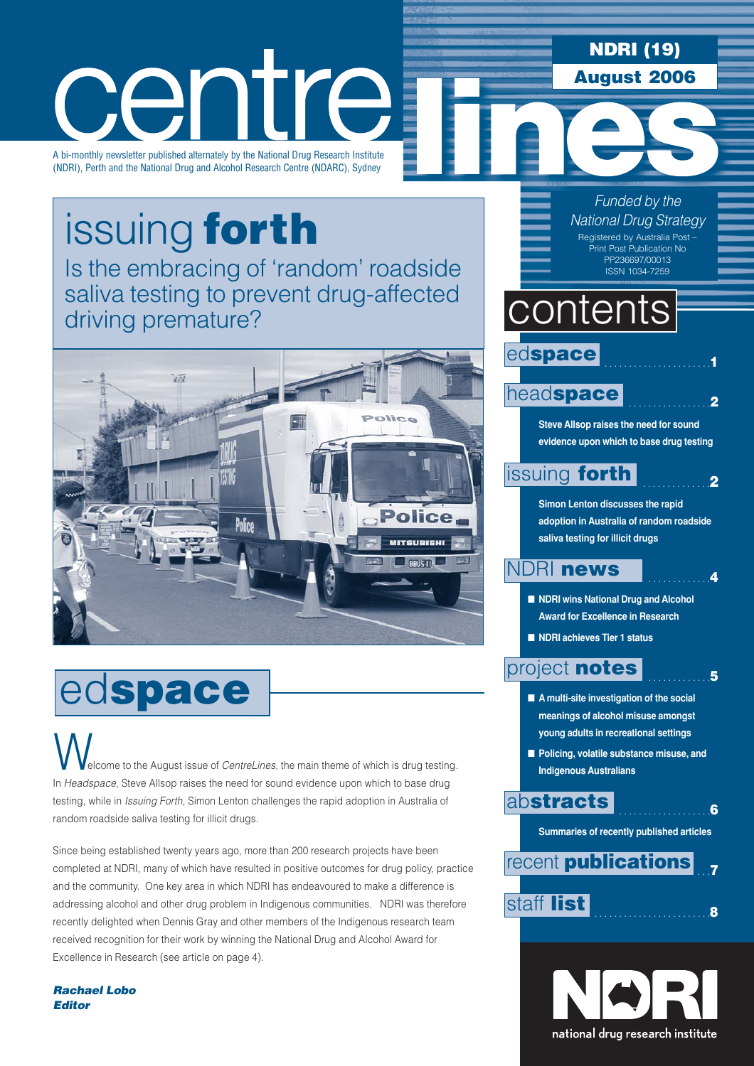### **NDRI (19) August 2006**

### Tre, Cer

A bi-monthly newsletter published alternately by the National Drug Research Institute (NDRI), Perth and the National Drug and Alcohol Research Centre (NDARC), Sydney

# issuing **forth**

[Is the embracing of 'random' roadside](#page-1-0) saliva testing to prevent drug-affected driving premature?



## ed**space**

elcome to the August issue of *CentreLines*, the main theme of which is drug testing. In *Headspace*, Steve Allsop raises the need for sound evidence upon which to base drug testing, while in *Issuing Forth*, Simon Lenton challenges the rapid adoption in Australia of random roadside saliva testing for illicit drugs.  $\bigvee$ 

Since being established twenty years ago, more than 200 research projects have been completed at NDRI, many of which have resulted in positive outcomes for drug policy, practice and the community. One key area in which NDRI has endeavoured to make a difference is addressing alcohol and other drug problem in Indigenous communities. NDRI was therefore recently delighted when Dennis Gray and other members of the Indigenous research team received recognition for their work by winning the National Drug and Alcohol Award for Excellence in Research (see article on page 4).

*Rachael Lobo Editor*

*Funded by the National Drug Strategy* Registered by Australia Post – Print Post Publication No PP236697/00013 ISSN 1034-7259

### contents

 . . . . . . . . . . . . . . . . . . . . . .**1** ed**space**

### head**[space](#page-1-0)**

**Steve Allsop raises the need for sound evidence upon which to base drug testing** 

. . . . . . . . . . . . . . . . .**2**

. . . . . . . . . . . . . .**2**

. . . . . . . . . . . . .**4**

. . . . . . . . . . . . .**5**

. . . . . . . . . . . . . . . . . . .**6**

### [issuing](#page-1-0) **forth**

**Simon Lenton discusses the rapid adoption in Australia of random roadside saliva testing for illicit drugs** 

### NDRI **[news](#page-3-0)**

- **NDRI** wins National Drug and Alcohol **Award for Excellence in Research**
- **NDRI achieves Tier 1 status**

### [project](#page-4-0) **notes**

- A multi-site investigation of the social **meanings of alcohol misuse amongst young adults in recreational settings**
- **Policing, volatile substance misuse, and Indigenous Australians**

### ab**[stracts](#page-5-0)**

**Summaries of recently published articles** 

### . . .**7** . . . . . . . . . . . . . . . . . . . . . . . .**<sup>8</sup>** [staff](#page-7-0) **list** recent **[publications](#page-6-0)**

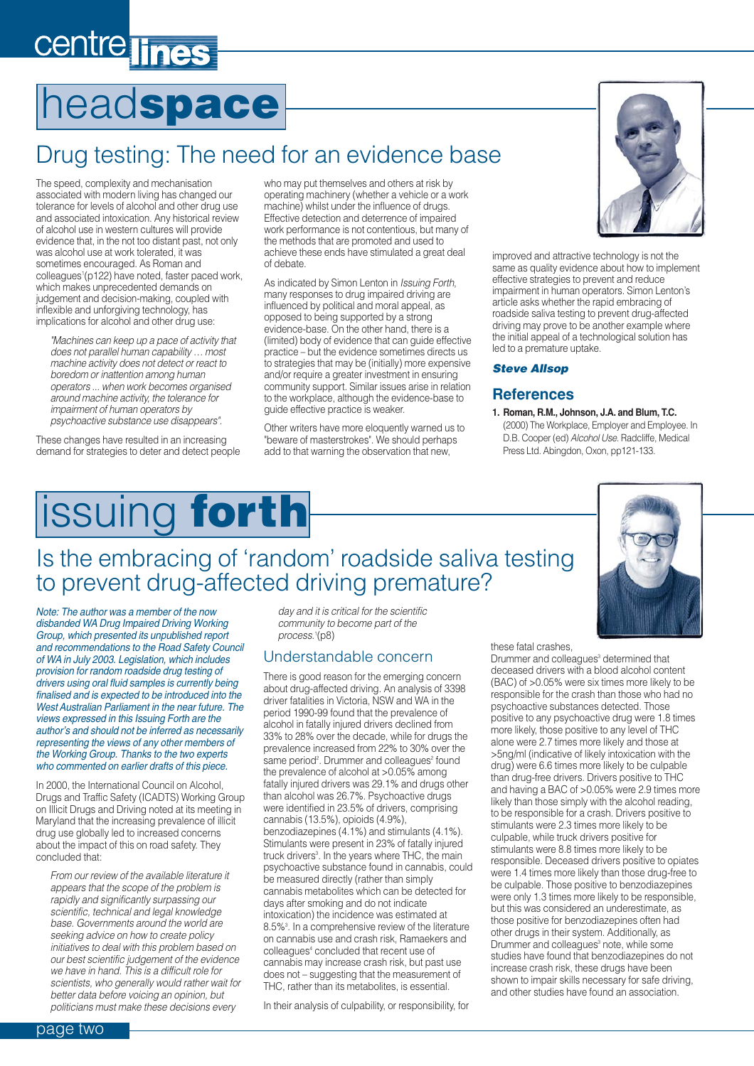### <span id="page-1-0"></span>centre lines

## head**space**

### Drug testing: The need for an evidence base

The speed, complexity and mechanisation associated with modern living has changed our tolerance for levels of alcohol and other drug use and associated intoxication. Any historical review of alcohol use in western cultures will provide evidence that, in the not too distant past, not only was alcohol use at work tolerated, it was sometimes encouraged. As Roman and colleagues<sup>1</sup>(p122) have noted, faster paced work, which makes unprecedented demands on judgement and decision-making, coupled with inflexible and unforgiving technology, has implications for alcohol and other drug use:

*"Machines can keep up a pace of activity that does not parallel human capability … most machine activity does not detect or react to boredom or inattention among human operators ... when work becomes organised around machine activity, the tolerance for impairment of human operators by psychoactive substance use disappears".*

These changes have resulted in an increasing demand for strategies to deter and detect people who may put themselves and others at risk by operating machinery (whether a vehicle or a work machine) whilst under the influence of drugs. Effective detection and deterrence of impaired work performance is not contentious, but many of the methods that are promoted and used to achieve these ends have stimulated a great deal of debate.

As indicated by Simon Lenton in *Issuing Forth*, many responses to drug impaired driving are influenced by political and moral appeal, as opposed to being supported by a strong evidence-base. On the other hand, there is a (limited) body of evidence that can guide effective practice – but the evidence sometimes directs us to strategies that may be (initially) more expensive and/or require a greater investment in ensuring community support. Similar issues arise in relation to the workplace, although the evidence-base to guide effective practice is weaker.

Other writers have more eloquently warned us to "beware of masterstrokes". We should perhaps add to that warning the observation that new,



improved and attractive technology is not the same as quality evidence about how to implement effective strategies to prevent and reduce impairment in human operators. Simon Lenton's article asks whether the rapid embracing of roadside saliva testing to prevent drug-affected driving may prove to be another example where the initial appeal of a technological solution has led to a premature uptake.

### *Steve Allsop*

### **References**

**1. Roman, R.M., Johnson, J.A. and Blum, T.C.** (2000) The Workplace, Employer and Employee. In D.B. Cooper (ed) *Alcohol Use.* Radcliffe, Medical Press Ltd. Abingdon, Oxon, pp121-133.

## issuing **forth**

### Is the embracing of 'random' roadside saliva testing to prevent drug-affected driving premature?

*Note: The author was a member of the now disbanded WA Drug Impaired Driving Working Group, which presented its unpublished report and recommendations to the Road Safety Council of WA in July 2003. Legislation, which includes provision for random roadside drug testing of drivers using oral fluid samples is currently being finalised and is expected to be introduced into the West Australian Parliament in the near future. The views expressed in this Issuing Forth are the author's and should not be inferred as necessarily representing the views of any other members of the Working Group. Thanks to the two experts who commented on earlier drafts of this piece.*

In 2000, the International Council on Alcohol, Drugs and Traffic Safety (ICADTS) Working Group on Illicit Drugs and Driving noted at its meeting in Maryland that the increasing prevalence of illicit drug use globally led to increased concerns about the impact of this on road safety. They concluded that:

*From our review of the available literature it appears that the scope of the problem is rapidly and significantly surpassing our scientific, technical and legal knowledge base. Governments around the world are seeking advice on how to create policy initiatives to deal with this problem based on our best scientific judgement of the evidence we have in hand. This is a difficult role for scientists, who generally would rather wait for better data before voicing an opinion, but politicians must make these decisions every*

*day and it is critical for the scientific community to become part of the process.*<sup>1</sup> (p8)

### Understandable concern

There is good reason for the emerging concern about drug-affected driving. An analysis of 3398 driver fatalities in Victoria, NSW and WA in the period 1990-99 found that the prevalence of alcohol in fatally injured drivers declined from 33% to 28% over the decade, while for drugs the prevalence increased from 22% to 30% over the same period<sup>2</sup>. Drummer and colleagues<sup>2</sup> found the prevalence of alcohol at >0.05% among fatally injured drivers was 29.1% and drugs other than alcohol was 26.7%. Psychoactive drugs were identified in 23.5% of drivers, comprising cannabis (13.5%), opioids (4.9%), benzodiazepines (4.1%) and stimulants (4.1%). Stimulants were present in 23% of fatally injured truck drivers<sup>3</sup>. In the years where THC, the main psychoactive substance found in cannabis, could be measured directly (rather than simply cannabis metabolites which can be detected for days after smoking and do not indicate intoxication) the incidence was estimated at 8.5%3 . In a comprehensive review of the literature on cannabis use and crash risk, Ramaekers and colleagues<sup>4</sup> concluded that recent use of cannabis may increase crash risk, but past use does not – suggesting that the measurement of THC, rather than its metabolites, is essential.

In their analysis of culpability, or responsibility, for

these fatal crashes,

Drummer and colleagues<sup>3</sup> determined that deceased drivers with a blood alcohol content (BAC) of >0.05% were six times more likely to be responsible for the crash than those who had no psychoactive substances detected. Those positive to any psychoactive drug were 1.8 times more likely, those positive to any level of THC alone were 2.7 times more likely and those at >5ng/ml (indicative of likely intoxication with the drug) were 6.6 times more likely to be culpable than drug-free drivers. Drivers positive to THC and having a BAC of >0.05% were 2.9 times more likely than those simply with the alcohol reading, to be responsible for a crash. Drivers positive to stimulants were 2.3 times more likely to be culpable, while truck drivers positive for stimulants were 8.8 times more likely to be responsible. Deceased drivers positive to opiates were 1.4 times more likely than those drug-free to be culpable. Those positive to benzodiazepines were only 1.3 times more likely to be responsible, but this was considered an underestimate, as those positive for benzodiazepines often had other drugs in their system. Additionally, as Drummer and colleagues<sup>3</sup> note, while some studies have found that benzodiazepines do not increase crash risk, these drugs have been shown to impair skills necessary for safe driving, and other studies have found an association.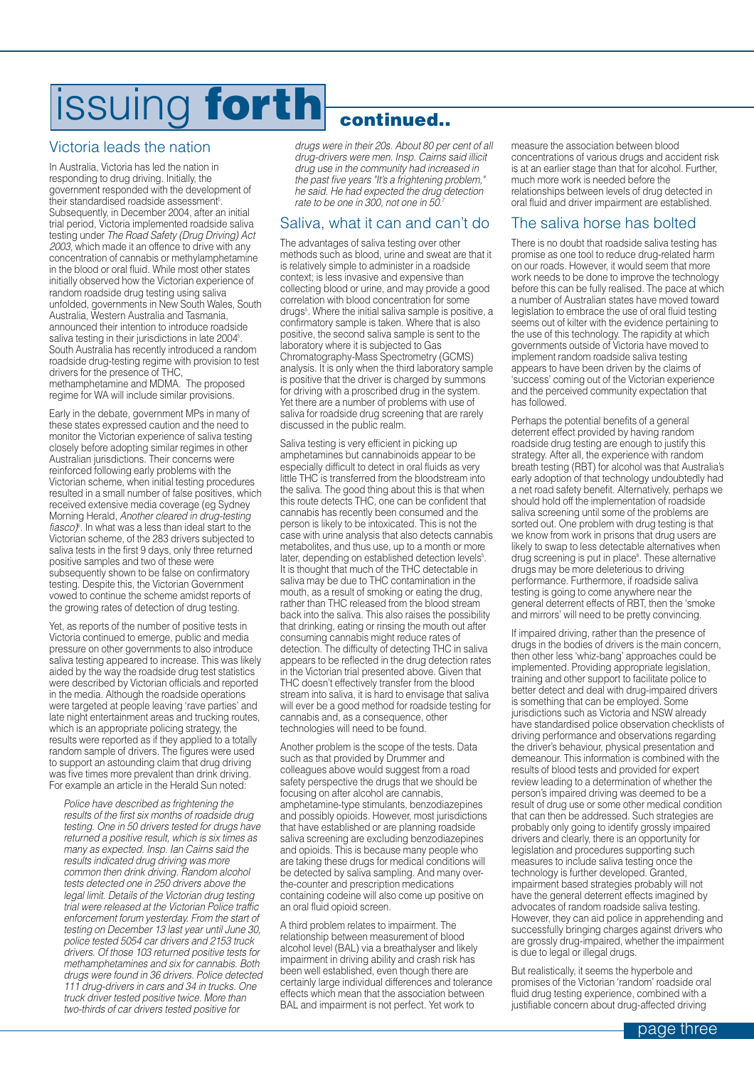## issuing **forth continued..**

### Victoria leads the nation

In Australia, Victoria has led the nation in responding to drug driving. Initially, the government responded with the development of their standardised roadside assessment<sup>s</sup>. Subsequently, in December 2004, after an initial trial period, Victoria implemented roadside saliva testing under *The Road Safety (Drug Driving) Act 2003*, which made it an offence to drive with any concentration of cannabis or methylamphetamine in the blood or oral fluid. While most other states initially observed how the Victorian experience of random roadside drug testing using saliva unfolded, governments in New South Wales, South Australia, Western Australia and Tasmania, announced their intention to introduce roadside saliva testing in their jurisdictions in late 2004<sup>5</sup>. South Australia has recently introduced a random roadside drug-testing regime with provision to test drivers for the presence of THC, methamphetamine and MDMA. The proposed regime for WA will include similar provisions.

Early in the debate, government MPs in many of these states expressed caution and the need to monitor the Victorian experience of saliva testing closely before adopting similar regimes in other Australian jurisdictions. Their concerns were reinforced following early problems with the Victorian scheme, when initial testing procedures resulted in a small number of false positives, which received extensive media coverage (eg Sydney Morning Herald, *Another cleared in drug-testing* fiasco)<sup>s</sup>. In what was a less than ideal start to the Victorian scheme, of the 283 drivers subjected to saliva tests in the first 9 days, only three returned positive samples and two of these were subsequently shown to be false on confirmatory testing. Despite this, the Victorian Government vowed to continue the scheme amidst reports of the growing rates of detection of drug testing.

Yet, as reports of the number of positive tests in Victoria continued to emerge, public and media pressure on other governments to also introduce saliva testing appeared to increase. This was likely aided by the way the roadside drug test statistics were described by Victorian officials and reported in the media. Although the roadside operations were targeted at people leaving 'rave parties' and late night entertainment areas and trucking routes. which is an appropriate policing strategy, the results were reported as if they applied to a totally random sample of drivers. The figures were used to support an astounding claim that drug driving was five times more prevalent than drink driving. For example an article in the Herald Sun noted:

*Police have described as frightening the results of the first six months of roadside drug testing. One in 50 drivers tested for drugs have returned a positive result, which is six times as many as expected. Insp. Ian Cairns said the results indicated drug driving was more common then drink driving. Random alcohol tests detected one in 250 drivers above the legal limit. Details of the Victorian drug testing trial were released at the Victorian Police traffic enforcement forum yesterday. From the start of testing on December 13 last year until June 30, police tested 5054 car drivers and 2153 truck drivers. Of those 103 returned positive tests for methamphetamines and six for cannabis. Both drugs were found in 36 drivers. Police detected 111 drug-drivers in cars and 34 in trucks. One truck driver tested positive twice. More than two-thirds of car drivers tested positive for*

*drugs were in their 20s. About 80 per cent of all drug-drivers were men. Insp. Cairns said illicit drug use in the community had increased in the past five years "It's a frightening problem," he said. He had expected the drug detection rate to be one in 300, not one in 50.7*

### Saliva, what it can and can't do

The advantages of saliva testing over other methods such as blood, urine and sweat are that it is relatively simple to administer in a roadside context; is less invasive and expensive than collecting blood or urine, and may provide a good correlation with blood concentration for some drugs<sup>5</sup>. Where the initial saliva sample is positive, a confirmatory sample is taken. Where that is also positive, the second saliva sample is sent to the laboratory where it is subjected to Gas Chromatography-Mass Spectrometry (GCMS) analysis. It is only when the third laboratory sample is positive that the driver is charged by summons for driving with a proscribed drug in the system. Yet there are a number of problems with use of saliva for roadside drug screening that are rarely discussed in the public realm.

Saliva testing is very efficient in picking up amphetamines but cannabinoids appear to be especially difficult to detect in oral fluids as very little THC is transferred from the bloodstream into the saliva. The good thing about this is that when this route detects THC, one can be confident that cannabis has recently been consumed and the person is likely to be intoxicated. This is not the case with urine analysis that also detects cannabis metabolites, and thus use, up to a month or more later, depending on established detection levels<sup>5</sup>. It is thought that much of the THC detectable in saliva may be due to THC contamination in the mouth, as a result of smoking or eating the drug, rather than THC released from the blood stream back into the saliva. This also raises the possibility that drinking, eating or rinsing the mouth out after consuming cannabis might reduce rates of detection. The difficulty of detecting THC in saliva appears to be reflected in the drug detection rates in the Victorian trial presented above. Given that THC doesn't effectively transfer from the blood stream into saliva, it is hard to envisage that saliva will ever be a good method for roadside testing for cannabis and, as a consequence, other technologies will need to be found.

Another problem is the scope of the tests. Data such as that provided by Drummer and colleagues above would suggest from a road safety perspective the drugs that we should be focusing on after alcohol are cannabis, amphetamine-type stimulants, benzodiazepines and possibly opioids. However, most jurisdictions that have established or are planning roadside saliva screening are excluding benzodiazepines and opioids. This is because many people who are taking these drugs for medical conditions will be detected by saliva sampling. And many overthe-counter and prescription medications containing codeine will also come up positive on an oral fluid opioid screen.

A third problem relates to impairment. The relationship between measurement of blood alcohol level (BAL) via a breathalyser and likely impairment in driving ability and crash risk has been well established, even though there are certainly large individual differences and tolerance effects which mean that the association between BAL and impairment is not perfect. Yet work to

measure the association between blood concentrations of various drugs and accident risk is at an earlier stage than that for alcohol. Further, much more work is needed before the relationships between levels of drug detected in oral fluid and driver impairment are established.

### The saliva horse has bolted

There is no doubt that roadside saliva testing has promise as one tool to reduce drug-related harm on our roads. However, it would seem that more work needs to be done to improve the technology before this can be fully realised. The pace at which a number of Australian states have moved toward legislation to embrace the use of oral fluid testing seems out of kilter with the evidence pertaining to the use of this technology. The rapidity at which governments outside of Victoria have moved to implement random roadside saliva testing appears to have been driven by the claims of 'success' coming out of the Victorian experience and the perceived community expectation that has followed.

Perhaps the potential benefits of a general deterrent effect provided by having random roadside drug testing are enough to justify this strategy. After all, the experience with random breath testing (RBT) for alcohol was that Australia's early adoption of that technology undoubtedly had a net road safety benefit. Alternatively, perhaps we should hold off the implementation of roadside saliva screening until some of the problems are sorted out. One problem with drug testing is that we know from work in prisons that drug users are likely to swap to less detectable alternatives when drug screening is put in place<sup>s</sup>. These alternative drugs may be more deleterious to driving performance. Furthermore, if roadside saliva testing is going to come anywhere near the general deterrent effects of RBT, then the 'smoke and mirrors' will need to be pretty convincing.

If impaired driving, rather than the presence of drugs in the bodies of drivers is the main concern, then other less 'whiz-bang' approaches could be implemented. Providing appropriate legislation, training and other support to facilitate police to better detect and deal with drug-impaired drivers is something that can be employed. Some jurisdictions such as Victoria and NSW already have standardised police observation checklists of driving performance and observations regarding the driver's behaviour, physical presentation and demeanour. This information is combined with the results of blood tests and provided for expert review leading to a determination of whether the person's impaired driving was deemed to be a result of drug use or some other medical condition that can then be addressed. Such strategies are probably only going to identify grossly impaired drivers and clearly, there is an opportunity for legislation and procedures supporting such measures to include saliva testing once the technology is further developed. Granted, impairment based strategies probably will not have the general deterrent effects imagined by advocates of random roadside saliva testing. However, they can aid police in apprehending and successfully bringing charges against drivers who are grossly drug-impaired, whether the impairment is due to legal or illegal drugs.

But realistically, it seems the hyperbole and promises of the Victorian 'random' roadside oral fluid drug testing experience, combined with a justifiable concern about drug-affected driving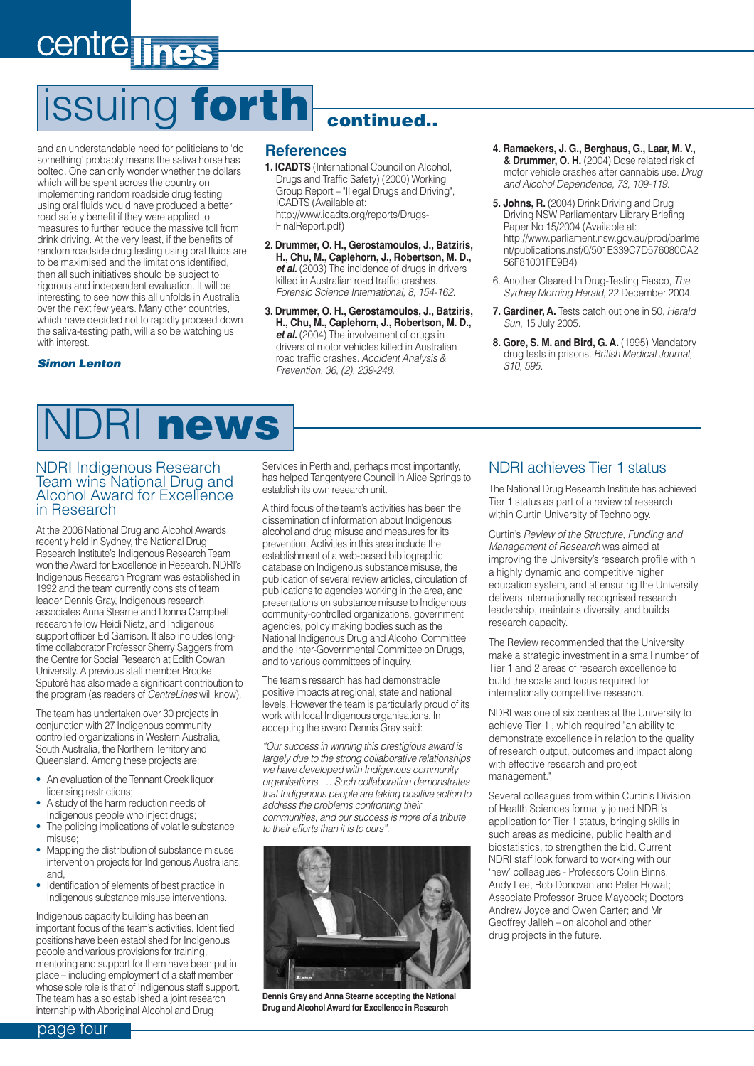## <span id="page-3-0"></span>centre **T**

## **ssuing forth continued**

and an understandable need for politicians to 'do something' probably means the saliva horse has bolted. One can only wonder whether the dollars which will be spent across the country on implementing random roadside drug testing using oral fluids would have produced a better road safety benefit if they were applied to measures to further reduce the massive toll from drink driving. At the very least, if the benefits of random roadside drug testing using oral fluids are to be maximised and the limitations identified, then all such initiatives should be subject to rigorous and independent evaluation. It will be interesting to see how this all unfolds in Australia over the next few years. Many other countries, which have decided not to rapidly proceed down the saliva-testing path, will also be watching us with interest.

#### *Simon Lenton*

#### **References**

- **1. ICADTS** (International Council on Alcohol, Drugs and Traffic Safety) (2000) Working Group Report – "Illegal Drugs and Driving", ICADTS (Available at: http://www.icadts.org/reports/Drugs-FinalReport.pdf)
- **2. Drummer, O. H., Gerostamoulos, J., Batziris, H., Chu, M., Caplehorn, J., Robertson, M. D.,** *et al.* (2003) The incidence of drugs in drivers killed in Australian road traffic crashes. *Forensic Science International, 8, 154-162.*
- **3. Drummer, O. H., Gerostamoulos, J., Batziris, H., Chu, M., Caplehorn, J., Robertson, M. D.,** et al. (2004) The involvement of drugs in drivers of motor vehicles killed in Australian road traffic crashes. *Accident Analysis & Prevention, 36, (2), 239-248.*
- **4. Ramaekers, J. G., Berghaus, G., Laar, M. V., & Drummer, O. H.** (2004) Dose related risk of motor vehicle crashes after cannabis use. *Drug and Alcohol Dependence, 73, 109-119.*
- **5. Johns, R.** (2004) Drink Driving and Drug Driving NSW Parliamentary Library Briefing Paper No 15/2004 (Available at: http://www.parliament.nsw.gov.au/prod/parlme nt/publications.nsf/0/501E339C7D576080CA2 56F81001FE9B4)
- 6. Another Cleared In Drug-Testing Fiasco, *The Sydney Morning Herald*, 22 December 2004.
- **7. Gardiner, A.** Tests catch out one in 50, *Herald Sun*, 15 July 2005.
- **8. Gore, S. M. and Bird, G. A.** (1995) Mandatory drug tests in prisons. *British Medical Journal, 310, 595.*

### NDRI **news**

#### NDRI Indigenous Research Team wins National Drug and Alcohol Award for Excellence in Research

At the 2006 National Drug and Alcohol Awards recently held in Sydney, the National Drug Research Institute's Indigenous Research Team won the Award for Excellence in Research. NDRI's Indigenous Research Program was established in 1992 and the team currently consists of team leader Dennis Gray, Indigenous research associates Anna Stearne and Donna Campbell, research fellow Heidi Nietz, and Indigenous support officer Ed Garrison. It also includes longtime collaborator Professor Sherry Saggers from the Centre for Social Research at Edith Cowan University. A previous staff member Brooke Sputoré has also made a significant contribution to the program (as readers of *CentreLines* will know).

The team has undertaken over 30 projects in conjunction with 27 Indigenous community controlled organizations in Western Australia, South Australia, the Northern Territory and Queensland. Among these projects are:

- An evaluation of the Tennant Creek liquor licensing restrictions;
- A study of the harm reduction needs of Indigenous people who inject drugs;
- The policing implications of volatile substance misuse;
- Mapping the distribution of substance misuse intervention projects for Indigenous Australians; and,
- Identification of elements of best practice in Indigenous substance misuse interventions.

Indigenous capacity building has been an important focus of the team's activities. Identified positions have been established for Indigenous people and various provisions for training, mentoring and support for them have been put in place – including employment of a staff member whose sole role is that of Indigenous staff support. The team has also established a joint research internship with Aboriginal Alcohol and Drug

Services in Perth and, perhaps most importantly, has helped Tangentyere Council in Alice Springs to establish its own research unit.

A third focus of the team's activities has been the dissemination of information about Indigenous alcohol and drug misuse and measures for its prevention. Activities in this area include the establishment of a web-based bibliographic database on Indigenous substance misuse, the publication of several review articles, circulation of publications to agencies working in the area, and presentations on substance misuse to Indigenous community-controlled organizations, government agencies, policy making bodies such as the National Indigenous Drug and Alcohol Committee and the Inter-Governmental Committee on Drugs, and to various committees of inquiry.

The team's research has had demonstrable positive impacts at regional, state and national levels. However the team is particularly proud of its work with local Indigenous organisations. In accepting the award Dennis Gray said:

*"Our success in winning this prestigious award is largely due to the strong collaborative relationships we have developed with Indigenous community organisations. … Such collaboration demonstrates that Indigenous people are taking positive action to address the problems confronting their communities, and our success is more of a tribute to their efforts than it is to ours".*



**Dennis Gray and Anna Stearne accepting the National Drug and Alcohol Award for Excellence in Research**

### NDRI achieves Tier 1 status

The National Drug Research Institute has achieved Tier 1 status as part of a review of research within Curtin University of Technology.

Curtin's *Review of the Structure, Funding and Management of Research* was aimed at improving the University's research profile within a highly dynamic and competitive higher education system, and at ensuring the University delivers internationally recognised research leadership, maintains diversity, and builds research capacity.

The Review recommended that the University make a strategic investment in a small number of Tier 1 and 2 areas of research excellence to build the scale and focus required for internationally competitive research.

NDRI was one of six centres at the University to achieve Tier 1 , which required "an ability to demonstrate excellence in relation to the quality of research output, outcomes and impact along with effective research and project management."

Several colleagues from within Curtin's Division of Health Sciences formally joined NDRI's application for Tier 1 status, bringing skills in such areas as medicine, public health and biostatistics, to strengthen the bid. Current NDRI staff look forward to working with our 'new' colleagues - Professors Colin Binns, Andy Lee, Rob Donovan and Peter Howat; Associate Professor Bruce Maycock; Doctors Andrew Joyce and Owen Carter; and Mr Geoffrey Jalleh – on alcohol and other drug projects in the future.

page four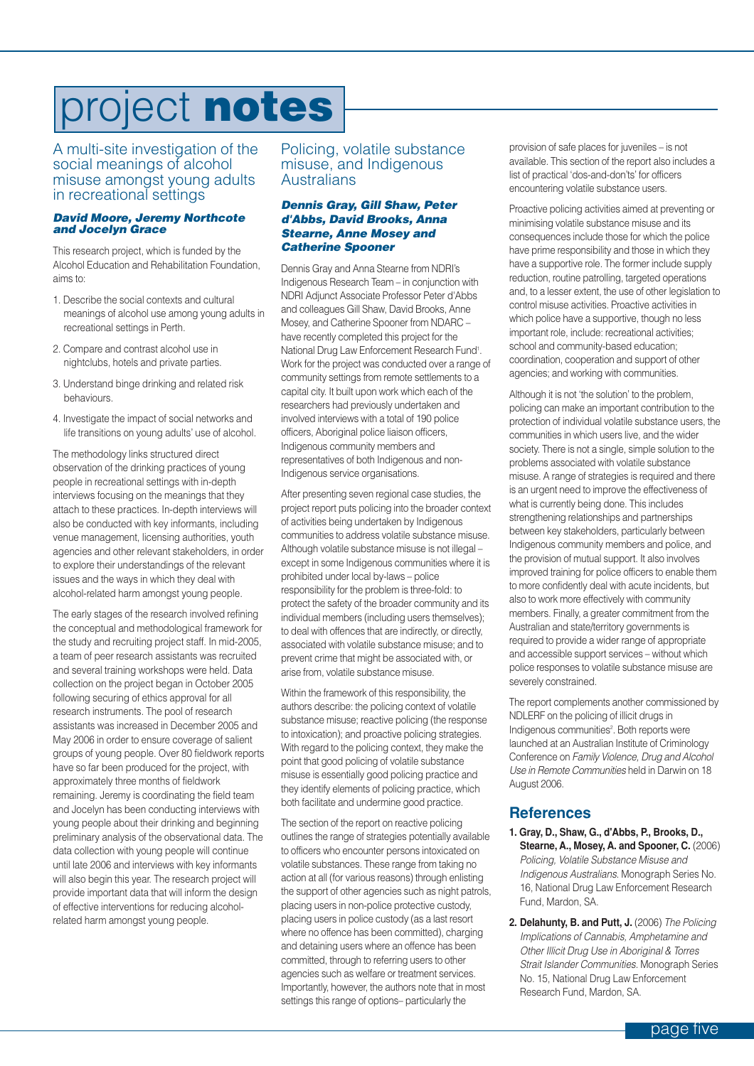### <span id="page-4-0"></span>project **notes**

A multi-site investigation of the social meanings of alcohol misuse amongst young adults in recreational settings

#### *David Moore, Jeremy Northcote and Jocelyn Grace*

This research project, which is funded by the Alcohol Education and Rehabilitation Foundation, aims to:

- 1. Describe the social contexts and cultural meanings of alcohol use among young adults in recreational settings in Perth.
- 2. Compare and contrast alcohol use in nightclubs, hotels and private parties.
- 3. Understand binge drinking and related risk behaviours.
- 4. Investigate the impact of social networks and life transitions on young adults' use of alcohol.

The methodology links structured direct observation of the drinking practices of young people in recreational settings with in-depth interviews focusing on the meanings that they attach to these practices. In-depth interviews will also be conducted with key informants, including venue management, licensing authorities, youth agencies and other relevant stakeholders, in order to explore their understandings of the relevant issues and the ways in which they deal with alcohol-related harm amongst young people.

The early stages of the research involved refining the conceptual and methodological framework for the study and recruiting project staff. In mid-2005, a team of peer research assistants was recruited and several training workshops were held. Data collection on the project began in October 2005 following securing of ethics approval for all research instruments. The pool of research assistants was increased in December 2005 and May 2006 in order to ensure coverage of salient groups of young people. Over 80 fieldwork reports have so far been produced for the project, with approximately three months of fieldwork remaining. Jeremy is coordinating the field team and Jocelyn has been conducting interviews with young people about their drinking and beginning preliminary analysis of the observational data. The data collection with young people will continue until late 2006 and interviews with key informants will also begin this year. The research project will provide important data that will inform the design of effective interventions for reducing alcoholrelated harm amongst young people.

### Policing, volatile substance misuse, and Indigenous Australians

#### *Dennis Gray, Gill Shaw, Peter d'Abbs, David Brooks, Anna Stearne, Anne Mosey and Catherine Spooner*

Dennis Gray and Anna Stearne from NDRI's Indigenous Research Team – in conjunction with NDRI Adjunct Associate Professor Peter d'Abbs and colleagues Gill Shaw, David Brooks, Anne Mosey, and Catherine Spooner from NDARC – have recently completed this project for the National Drug Law Enforcement Research Fund<sup>1</sup>. Work for the project was conducted over a range of community settings from remote settlements to a capital city. It built upon work which each of the researchers had previously undertaken and involved interviews with a total of 190 police officers, Aboriginal police liaison officers, Indigenous community members and representatives of both Indigenous and non-Indigenous service organisations.

After presenting seven regional case studies, the project report puts policing into the broader context of activities being undertaken by Indigenous communities to address volatile substance misuse. Although volatile substance misuse is not illegal – except in some Indigenous communities where it is prohibited under local by-laws – police responsibility for the problem is three-fold: to protect the safety of the broader community and its individual members (including users themselves); to deal with offences that are indirectly, or directly, associated with volatile substance misuse; and to prevent crime that might be associated with, or arise from, volatile substance misuse.

Within the framework of this responsibility, the authors describe: the policing context of volatile substance misuse; reactive policing (the response to intoxication); and proactive policing strategies. With regard to the policing context, they make the point that good policing of volatile substance misuse is essentially good policing practice and they identify elements of policing practice, which both facilitate and undermine good practice.

The section of the report on reactive policing outlines the range of strategies potentially available to officers who encounter persons intoxicated on volatile substances. These range from taking no action at all (for various reasons) through enlisting the support of other agencies such as night patrols, placing users in non-police protective custody, placing users in police custody (as a last resort where no offence has been committed), charging and detaining users where an offence has been committed, through to referring users to other agencies such as welfare or treatment services. Importantly, however, the authors note that in most settings this range of options– particularly the

provision of safe places for juveniles – is not available. This section of the report also includes a list of practical 'dos-and-don'ts' for officers encountering volatile substance users.

Proactive policing activities aimed at preventing or minimising volatile substance misuse and its consequences include those for which the police have prime responsibility and those in which they have a supportive role. The former include supply reduction, routine patrolling, targeted operations and, to a lesser extent, the use of other legislation to control misuse activities. Proactive activities in which police have a supportive, though no less important role, include: recreational activities; school and community-based education; coordination, cooperation and support of other agencies; and working with communities.

Although it is not 'the solution' to the problem, policing can make an important contribution to the protection of individual volatile substance users, the communities in which users live, and the wider society. There is not a single, simple solution to the problems associated with volatile substance misuse. A range of strategies is required and there is an urgent need to improve the effectiveness of what is currently being done. This includes strengthening relationships and partnerships between key stakeholders, particularly between Indigenous community members and police, and the provision of mutual support. It also involves improved training for police officers to enable them to more confidently deal with acute incidents, but also to work more effectively with community members. Finally, a greater commitment from the Australian and state/territory governments is required to provide a wider range of appropriate and accessible support services – without which police responses to volatile substance misuse are severely constrained.

The report complements another commissioned by NDLERF on the policing of illicit drugs in Indigenous communities<sup>2</sup>. Both reports were launched at an Australian Institute of Criminology Conference on *Family Violence, Drug and Alcohol Use in Remote Communities* held in Darwin on 18 August 2006.

### **References**

- **1. Gray, D., Shaw, G., d'Abbs, P., Brooks, D., Stearne, A., Mosey, A. and Spooner, C.** (2006) *Policing, Volatile Substance Misuse and Indigenous Australians*. Monograph Series No. 16, National Drug Law Enforcement Research Fund, Mardon, SA.
- **2. Delahunty, B. and Putt, J.** (2006) *The Policing Implications of Cannabis, Amphetamine and Other Illicit Drug Use in Aboriginal & Torres Strait Islander Communities.* Monograph Series No. 15, National Drug Law Enforcement Research Fund, Mardon, SA.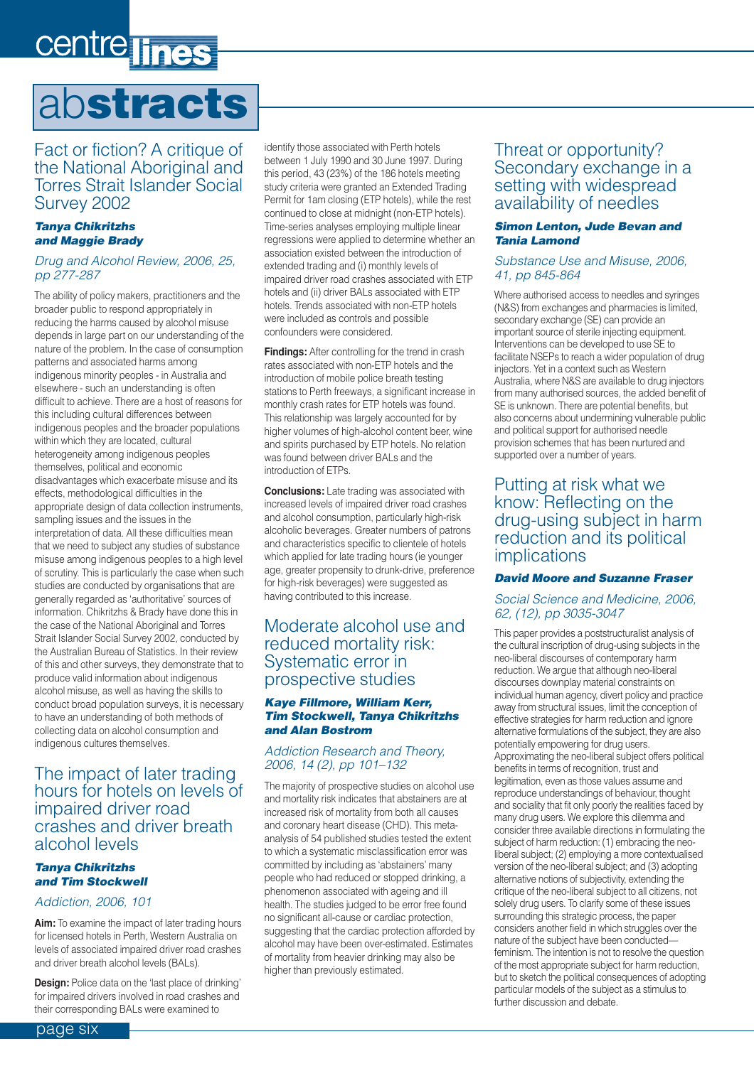## <span id="page-5-0"></span>centre lines

### ab**stracts**

### Fact or fiction? A critique of the National Aboriginal and Torres Strait Islander Social Survey 2002

#### *Tanya Chikritzhs and Maggie Brady*

#### *Drug and Alcohol Review, 2006, 25, pp 277-287*

The ability of policy makers, practitioners and the broader public to respond appropriately in reducing the harms caused by alcohol misuse depends in large part on our understanding of the nature of the problem. In the case of consumption patterns and associated harms among indigenous minority peoples - in Australia and elsewhere - such an understanding is often difficult to achieve. There are a host of reasons for this including cultural differences between indigenous peoples and the broader populations within which they are located, cultural heterogeneity among indigenous peoples themselves, political and economic disadvantages which exacerbate misuse and its effects, methodological difficulties in the appropriate design of data collection instruments, sampling issues and the issues in the interpretation of data. All these difficulties mean that we need to subject any studies of substance misuse among indigenous peoples to a high level of scrutiny. This is particularly the case when such studies are conducted by organisations that are generally regarded as 'authoritative' sources of information. Chikritzhs & Brady have done this in the case of the National Aboriginal and Torres Strait Islander Social Survey 2002, conducted by the Australian Bureau of Statistics. In their review of this and other surveys, they demonstrate that to produce valid information about indigenous alcohol misuse, as well as having the skills to conduct broad population surveys, it is necessary to have an understanding of both methods of collecting data on alcohol consumption and indigenous cultures themselves.

### The impact of later trading hours for hotels on levels of impaired driver road crashes and driver breath alcohol levels

### *Tanya Chikritzhs and Tim Stockwell*

#### *Addiction, 2006, 101*

**Aim:** To examine the impact of later trading hours for licensed hotels in Perth, Western Australia on levels of associated impaired driver road crashes and driver breath alcohol levels (BALs).

**Design:** Police data on the 'last place of drinking' for impaired drivers involved in road crashes and their corresponding BALs were examined to

identify those associated with Perth hotels between 1 July 1990 and 30 June 1997. During this period, 43 (23%) of the 186 hotels meeting study criteria were granted an Extended Trading Permit for 1am closing (ETP hotels), while the rest continued to close at midnight (non-ETP hotels). Time-series analyses employing multiple linear regressions were applied to determine whether an association existed between the introduction of extended trading and (i) monthly levels of impaired driver road crashes associated with ETP hotels and (ii) driver BALs associated with ETP hotels. Trends associated with non-ETP hotels were included as controls and possible confounders were considered.

**Findings:** After controlling for the trend in crash rates associated with non-ETP hotels and the introduction of mobile police breath testing stations to Perth freeways, a significant increase in monthly crash rates for ETP hotels was found. This relationship was largely accounted for by higher volumes of high-alcohol content beer, wine and spirits purchased by ETP hotels. No relation was found between driver BALs and the introduction of ETPs.

**Conclusions:** Late trading was associated with increased levels of impaired driver road crashes and alcohol consumption, particularly high-risk alcoholic beverages. Greater numbers of patrons and characteristics specific to clientele of hotels which applied for late trading hours (ie younger age, greater propensity to drunk-drive, preference for high-risk beverages) were suggested as having contributed to this increase.

### Moderate alcohol use and reduced mortality risk: Systematic error in prospective studies

#### *Kaye Fillmore, William Kerr, Tim Stockwell, Tanya Chikritzhs and Alan Bostrom*

### *Addiction Research and Theory, 2006, 14 (2), pp 101–132*

The majority of prospective studies on alcohol use and mortality risk indicates that abstainers are at increased risk of mortality from both all causes and coronary heart disease (CHD). This metaanalysis of 54 published studies tested the extent to which a systematic misclassification error was committed by including as 'abstainers' many people who had reduced or stopped drinking, a phenomenon associated with ageing and ill health. The studies judged to be error free found no significant all-cause or cardiac protection, suggesting that the cardiac protection afforded by alcohol may have been over-estimated. Estimates of mortality from heavier drinking may also be higher than previously estimated.

### Threat or opportunity? Secondary exchange in a setting with widespread availability of needles

#### *Simon Lenton, Jude Bevan and Tania Lamond*

#### *Substance Use and Misuse, 2006, 41, pp 845-864*

Where authorised access to needles and syringes (N&S) from exchanges and pharmacies is limited, secondary exchange (SE) can provide an important source of sterile injecting equipment. Interventions can be developed to use SE to facilitate NSEPs to reach a wider population of drug injectors. Yet in a context such as Western Australia, where N&S are available to drug injectors from many authorised sources, the added benefit of SE is unknown. There are potential benefits, but also concerns about undermining vulnerable public and political support for authorised needle provision schemes that has been nurtured and supported over a number of years.

### Putting at risk what we know: Reflecting on the drug-using subject in harm reduction and its political implications

#### *David Moore and Suzanne Fraser*

#### *Social Science and Medicine, 2006, 62, (12), pp 3035-3047*

This paper provides a poststructuralist analysis of the cultural inscription of drug-using subjects in the neo-liberal discourses of contemporary harm reduction. We argue that although neo-liberal discourses downplay material constraints on individual human agency, divert policy and practice away from structural issues, limit the conception of effective strategies for harm reduction and ignore alternative formulations of the subject, they are also potentially empowering for drug users. Approximating the neo-liberal subject offers political benefits in terms of recognition, trust and legitimation, even as those values assume and reproduce understandings of behaviour, thought and sociality that fit only poorly the realities faced by many drug users. We explore this dilemma and consider three available directions in formulating the subject of harm reduction: (1) embracing the neoliberal subject; (2) employing a more contextualised version of the neo-liberal subject; and (3) adopting alternative notions of subjectivity, extending the critique of the neo-liberal subject to all citizens, not solely drug users. To clarify some of these issues surrounding this strategic process, the paper considers another field in which struggles over the nature of the subject have been conducted feminism. The intention is not to resolve the question of the most appropriate subject for harm reduction, but to sketch the political consequences of adopting particular models of the subject as a stimulus to further discussion and debate.

page six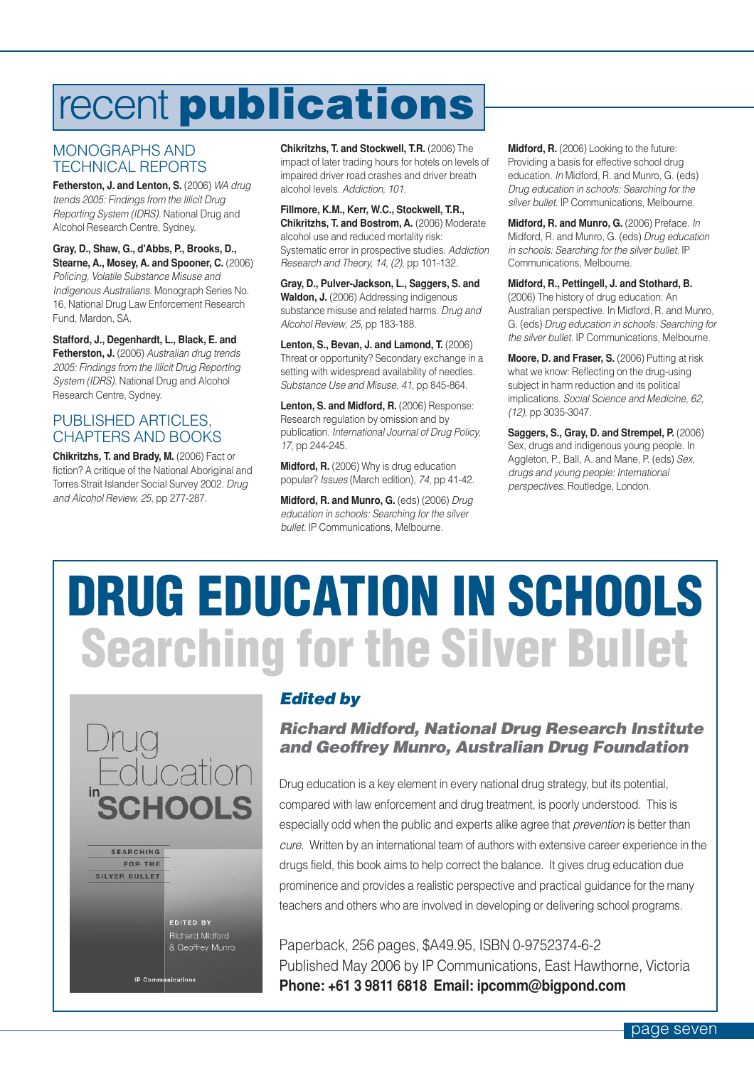### <span id="page-6-0"></span>recent **publications**

### MONOGRAPHS AND TECHNICAL REPORTS

**Fetherston, J. and Lenton, S.** (2006) *WA drug trends 2005: Findings from the Illicit Drug Reporting System (IDRS).* National Drug and Alcohol Research Centre, Sydney.

**Gray, D., Shaw, G., d'Abbs, P., Brooks, D., Stearne, A., Mosey, A. and Spooner, C.** (2006) *Policing, Volatile Substance Misuse and Indigenous Australians.* Monograph Series No. 16, National Drug Law Enforcement Research Fund, Mardon, SA.

**Stafford, J., Degenhardt, L., Black, E. and Fetherston, J.** (2006) *Australian drug trends 2005: Findings from the Illicit Drug Reporting System (IDRS).* National Drug and Alcohol Research Centre, Sydney.

### PUBLISHED ARTICLES, CHAPTERS AND BOOKS

**Chikritzhs, T. and Brady, M.** (2006) Fact or fiction? A critique of the National Aboriginal and Torres Strait Islander Social Survey 2002. *Drug and Alcohol Review, 25,* pp 277-287.

**Chikritzhs, T. and Stockwell, T.R.** (2006) The impact of later trading hours for hotels on levels of impaired driver road crashes and driver breath alcohol levels. *Addiction, 101*.

**Fillmore, K.M., Kerr, W.C., Stockwell, T.R., Chikritzhs, T. and Bostrom, A.** (2006) Moderate alcohol use and reduced mortality risk: Systematic error in prospective studies. *Addiction Research and Theory, 14, (2)*, pp 101-132.

**Gray, D., Pulver-Jackson, L., Saggers, S. and Waldon, J.** (2006) Addressing indigenous substance misuse and related harms. *Drug and Alcohol Review*, *25*, pp 183-188.

**Lenton, S., Bevan, J. and Lamond, T.** (2006) Threat or opportunity? Secondary exchange in a setting with widespread availability of needles. *Substance Use and Misuse, 41,* pp 845-864.

**Lenton, S. and Midford, R.** (2006) Response: Research regulation by omission and by publication. *International Journal of Drug Policy, 17,* pp 244-245.

**Midford, R.** (2006) Why is drug education popular? *Issues* (March edition), *74,* pp 41-42.

**Midford, R. and Munro, G.** (eds) (2006) *Drug education in schools: Searching for the silver bullet.* IP Communications, Melbourne.

**Midford, R.** (2006) Looking to the future: Providing a basis for effective school drug education. *In* Midford, R. and Munro, G. (eds) *Drug education in schools: Searching for the silver bullet.* IP Communications, Melbourne.

**Midford, R. and Munro, G.** (2006) Preface. *In* Midford, R. and Munro, G. (eds) *Drug education in schools: Searching for the silver bullet.* IP Communications, Melbourne.

**Midford, R., Pettingell, J. and Stothard, B.** (2006) The history of drug education: An Australian perspective. In Midford, R. and Munro, G. (eds) *Drug education in schools: Searching for the silver bullet.* IP Communications, Melbourne.

**Moore, D. and Fraser, S. (2006) Putting at risk** what we know: Reflecting on the drug-using subject in harm reduction and its political implications. *Social Science and Medicine, 62, (12)*, pp 3035-3047.

**Saggers, S., Gray, D. and Strempel, P.** (2006) Sex, drugs and indigenous young people. In Aggleton, P., Ball, A. and Mane, P. (eds) *Sex, drugs and young people: International perspectives.* Routledge, London.

# **DRUG EDUCATION IN SCHOOLS Searching for the Silver Bullet**



### *Edited by*

### *Richard Midford, National Drug Research Institute and Geoffrey Munro, Australian Drug Foundation*

Drug education is a key element in every national drug strategy, but its potential, compared with law enforcement and drug treatment, is poorly understood. This is especially odd when the public and experts alike agree that *prevention* is better than *cure*. Written by an international team of authors with extensive career experience in the drugs field, this book aims to help correct the balance. It gives drug education due prominence and provides a realistic perspective and practical guidance for the many teachers and others who are involved in developing or delivering school programs.

Paperback, 256 pages, \$A49.95, ISBN 0-9752374-6-2 Published May 2006 by IP Communications, East Hawthorne, Victoria **Phone: +61 3 9811 6818 Email: ipcomm@bigpond.com**